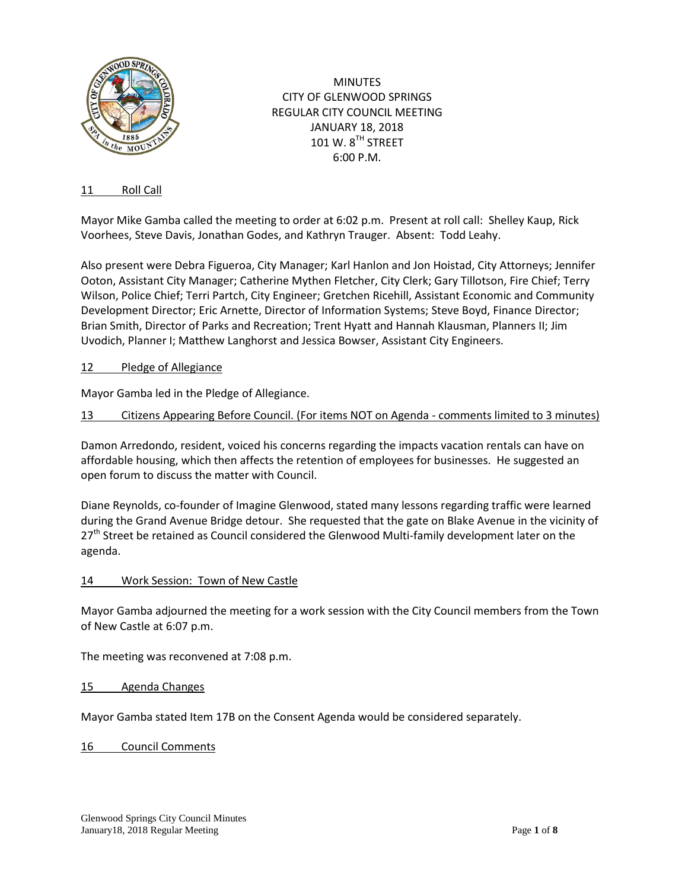

**MINUTES** CITY OF GLENWOOD SPRINGS REGULAR CITY COUNCIL MEETING JANUARY 18, 2018  $101 W. 8<sup>TH</sup>$  STREET 6:00 P.M.

## 11 Roll Call

Mayor Mike Gamba called the meeting to order at 6:02 p.m. Present at roll call: Shelley Kaup, Rick Voorhees, Steve Davis, Jonathan Godes, and Kathryn Trauger. Absent: Todd Leahy.

Also present were Debra Figueroa, City Manager; Karl Hanlon and Jon Hoistad, City Attorneys; Jennifer Ooton, Assistant City Manager; Catherine Mythen Fletcher, City Clerk; Gary Tillotson, Fire Chief; Terry Wilson, Police Chief; Terri Partch, City Engineer; Gretchen Ricehill, Assistant Economic and Community Development Director; Eric Arnette, Director of Information Systems; Steve Boyd, Finance Director; Brian Smith, Director of Parks and Recreation; Trent Hyatt and Hannah Klausman, Planners II; Jim Uvodich, Planner I; Matthew Langhorst and Jessica Bowser, Assistant City Engineers.

### 12 Pledge of Allegiance

Mayor Gamba led in the Pledge of Allegiance.

## 13 Citizens Appearing Before Council. (For items NOT on Agenda - comments limited to 3 minutes)

Damon Arredondo, resident, voiced his concerns regarding the impacts vacation rentals can have on affordable housing, which then affects the retention of employees for businesses. He suggested an open forum to discuss the matter with Council.

Diane Reynolds, co-founder of Imagine Glenwood, stated many lessons regarding traffic were learned during the Grand Avenue Bridge detour. She requested that the gate on Blake Avenue in the vicinity of 27<sup>th</sup> Street be retained as Council considered the Glenwood Multi-family development later on the agenda.

### 14 Work Session: Town of New Castle

Mayor Gamba adjourned the meeting for a work session with the City Council members from the Town of New Castle at 6:07 p.m.

The meeting was reconvened at 7:08 p.m.

### 15 Agenda Changes

Mayor Gamba stated Item 17B on the Consent Agenda would be considered separately.

16 Council Comments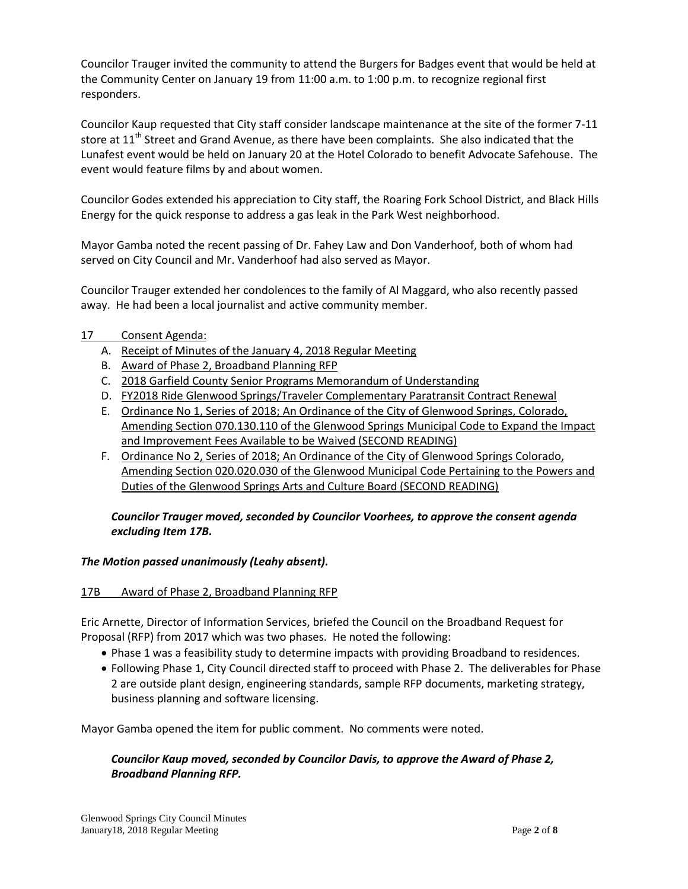Councilor Trauger invited the community to attend the Burgers for Badges event that would be held at the Community Center on January 19 from 11:00 a.m. to 1:00 p.m. to recognize regional first responders.

Councilor Kaup requested that City staff consider landscape maintenance at the site of the former 7-11 store at  $11<sup>th</sup>$  Street and Grand Avenue, as there have been complaints. She also indicated that the Lunafest event would be held on January 20 at the Hotel Colorado to benefit Advocate Safehouse. The event would feature films by and about women.

Councilor Godes extended his appreciation to City staff, the Roaring Fork School District, and Black Hills Energy for the quick response to address a gas leak in the Park West neighborhood.

Mayor Gamba noted the recent passing of Dr. Fahey Law and Don Vanderhoof, both of whom had served on City Council and Mr. Vanderhoof had also served as Mayor.

Councilor Trauger extended her condolences to the family of Al Maggard, who also recently passed away. He had been a local journalist and active community member.

## 17 Consent Agenda:

- A. Receipt of Minutes of the January 4, 2018 Regular Meeting
- B. Award of Phase 2, Broadband Planning RFP
- C. 2018 Garfield County [Senior Programs](http://www.gwsco.gov/DocumentCenter/View/952) Memorandum of Understanding
- D. FY2018 Ride Glenwood Springs/Traveler Complementary Paratransit Contract Renewal
- E. Ordinance No 1, Series of 2018; An Ordinance of the City of Glenwood Springs, Colorado, Amending Section 070.130.110 of the Glenwood Springs Municipal Code to Expand the Impact and Improvement Fees Available to be Waived (SECOND READING)
- F. Ordinance No 2, Series of 2018; An Ordinance of the City of Glenwood Springs Colorado, Amending Section 020.020.030 of the Glenwood Municipal Code Pertaining to the Powers and Duties of the Glenwood Springs Arts and Culture Board (SECOND READING)

## *Councilor Trauger moved, seconded by Councilor Voorhees, to approve the consent agenda excluding Item 17B.*

### *The Motion passed unanimously (Leahy absent).*

### 17B Award of Phase 2, Broadband Planning RFP

Eric Arnette, Director of Information Services, briefed the Council on the Broadband Request for Proposal (RFP) from 2017 which was two phases. He noted the following:

- Phase 1 was a feasibility study to determine impacts with providing Broadband to residences.
- Following Phase 1, City Council directed staff to proceed with Phase 2. The deliverables for Phase 2 are outside plant design, engineering standards, sample RFP documents, marketing strategy, business planning and software licensing.

Mayor Gamba opened the item for public comment. No comments were noted.

# *Councilor Kaup moved, seconded by Councilor Davis, to approve the Award of Phase 2, Broadband Planning RFP.*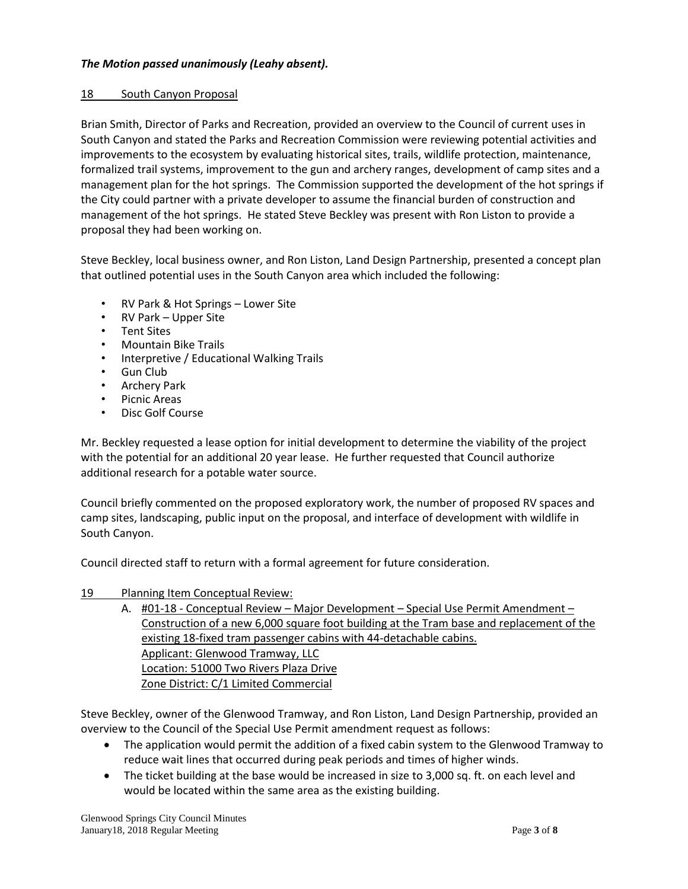## *The Motion passed unanimously (Leahy absent).*

#### 18 South Canyon Proposal

Brian Smith, Director of Parks and Recreation, provided an overview to the Council of current uses in South Canyon and stated the Parks and Recreation Commission were reviewing potential activities and improvements to the ecosystem by evaluating historical sites, trails, wildlife protection, maintenance, formalized trail systems, improvement to the gun and archery ranges, development of camp sites and a management plan for the hot springs. The Commission supported the development of the hot springs if the City could partner with a private developer to assume the financial burden of construction and management of the hot springs. He stated Steve Beckley was present with Ron Liston to provide a proposal they had been working on.

Steve Beckley, local business owner, and Ron Liston, Land Design Partnership, presented a concept plan that outlined potential uses in the South Canyon area which included the following:

- RV Park & Hot Springs Lower Site
- RV Park Upper Site
- Tent Sites
- Mountain Bike Trails
- Interpretive / Educational Walking Trails
- Gun Club
- Archery Park
- Picnic Areas
- Disc Golf Course

Mr. Beckley requested a lease option for initial development to determine the viability of the project with the potential for an additional 20 year lease. He further requested that Council authorize additional research for a potable water source.

Council briefly commented on the proposed exploratory work, the number of proposed RV spaces and camp sites, landscaping, public input on the proposal, and interface of development with wildlife in South Canyon.

Council directed staff to return with a formal agreement for future consideration.

### 19 Planning Item Conceptual Review:

A. #01-18 - Conceptual Review – Major Development – Special Use Permit Amendment – Construction of a new 6,000 square foot building at the Tram base and replacement of the existing 18-fixed tram passenger cabins with 44-detachable cabins. Applicant: Glenwood Tramway, LLC Location: 51000 Two Rivers Plaza Drive Zone District: C/1 Limited Commercial

Steve Beckley, owner of the Glenwood Tramway, and Ron Liston, Land Design Partnership, provided an overview to the Council of the Special Use Permit amendment request as follows:

- The application would permit the addition of a fixed cabin system to the Glenwood Tramway to reduce wait lines that occurred during peak periods and times of higher winds.
- The ticket building at the base would be increased in size to 3,000 sq. ft. on each level and would be located within the same area as the existing building.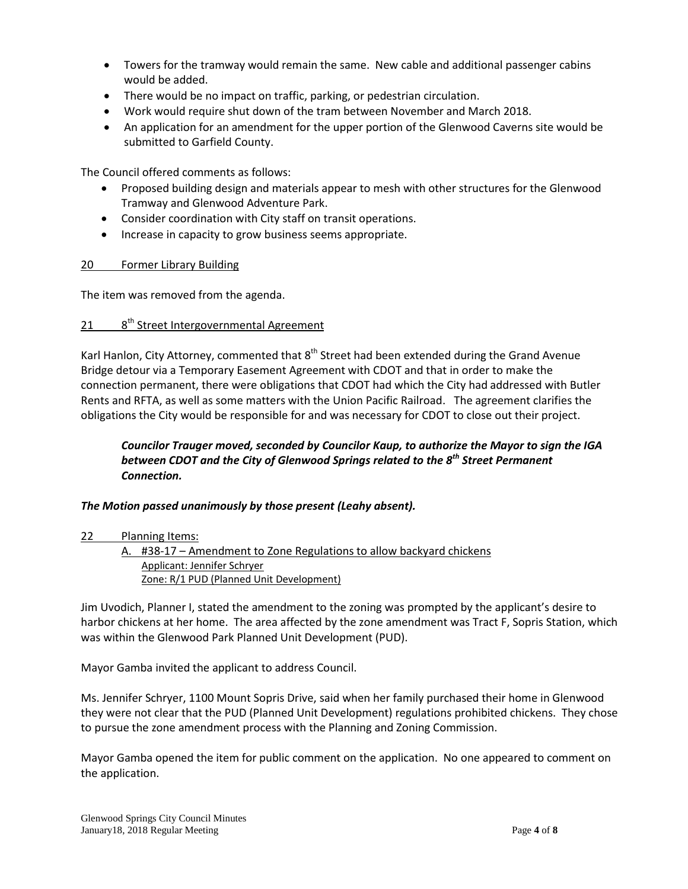- Towers for the tramway would remain the same. New cable and additional passenger cabins would be added.
- There would be no impact on traffic, parking, or pedestrian circulation.
- Work would require shut down of the tram between November and March 2018.
- An application for an amendment for the upper portion of the Glenwood Caverns site would be submitted to Garfield County.

The Council offered comments as follows:

- Proposed building design and materials appear to mesh with other structures for the Glenwood Tramway and Glenwood Adventure Park.
- Consider coordination with City staff on transit operations.
- Increase in capacity to grow business seems appropriate.

### 20 Former Library Building

The item was removed from the agenda.

#### 21 a 8<sup>th</sup> Street Intergovernmental Agreement

Karl Hanlon, City Attorney, commented that 8<sup>th</sup> Street had been extended during the Grand Avenue Bridge detour via a Temporary Easement Agreement with CDOT and that in order to make the connection permanent, there were obligations that CDOT had which the City had addressed with Butler Rents and RFTA, as well as some matters with the Union Pacific Railroad. The agreement clarifies the obligations the City would be responsible for and was necessary for CDOT to close out their project.

# *Councilor Trauger moved, seconded by Councilor Kaup, to authorize the Mayor to sign the IGA between CDOT and the City of Glenwood Springs related to the 8th Street Permanent Connection.*

# *The Motion passed unanimously by those present (Leahy absent).*

22 Planning Items:

A. #38-17 – Amendment to Zone Regulations to allow backyard chickens Applicant: Jennifer Schryer Zone: R/1 PUD (Planned Unit Development)

Jim Uvodich, Planner I, stated the amendment to the zoning was prompted by the applicant's desire to harbor chickens at her home. The area affected by the zone amendment was Tract F, Sopris Station, which was within the Glenwood Park Planned Unit Development (PUD).

Mayor Gamba invited the applicant to address Council.

Ms. Jennifer Schryer, 1100 Mount Sopris Drive, said when her family purchased their home in Glenwood they were not clear that the PUD (Planned Unit Development) regulations prohibited chickens. They chose to pursue the zone amendment process with the Planning and Zoning Commission.

Mayor Gamba opened the item for public comment on the application. No one appeared to comment on the application.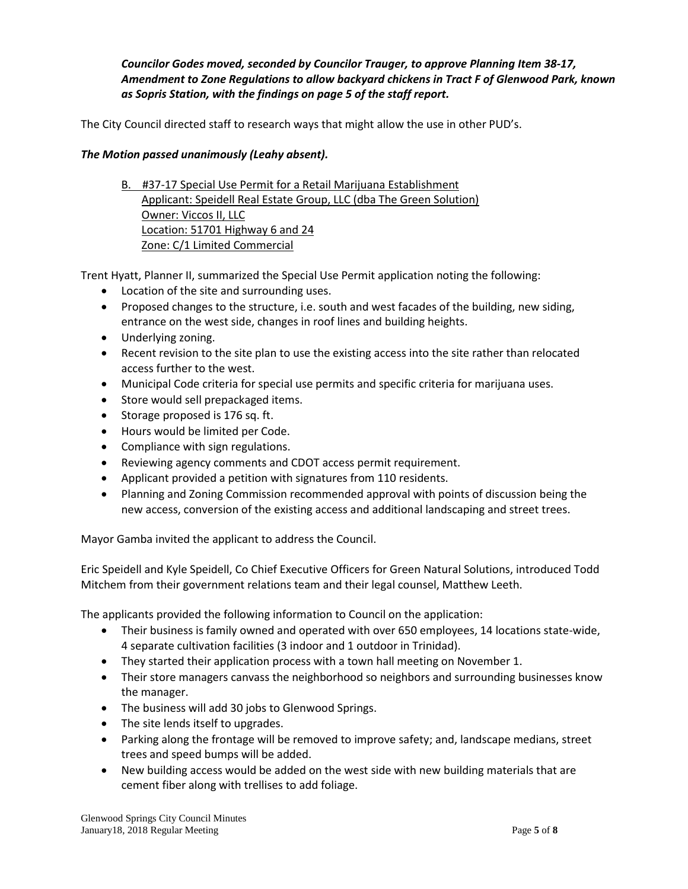*Councilor Godes moved, seconded by Councilor Trauger, to approve Planning Item 38-17, Amendment to Zone Regulations to allow backyard chickens in Tract F of Glenwood Park, known as Sopris Station, with the findings on page 5 of the staff report.*

The City Council directed staff to research ways that might allow the use in other PUD's.

## *The Motion passed unanimously (Leahy absent).*

B. #37-17 Special Use Permit for a Retail Marijuana Establishment Applicant: Speidell Real Estate Group, LLC (dba The Green Solution) Owner: Viccos II, LLC Location: 51701 Highway 6 and 24 Zone: C/1 Limited Commercial

Trent Hyatt, Planner II, summarized the Special Use Permit application noting the following:

- Location of the site and surrounding uses.
- Proposed changes to the structure, i.e. south and west facades of the building, new siding, entrance on the west side, changes in roof lines and building heights.
- Underlying zoning.
- Recent revision to the site plan to use the existing access into the site rather than relocated access further to the west.
- Municipal Code criteria for special use permits and specific criteria for marijuana uses.
- Store would sell prepackaged items.
- Storage proposed is 176 sq. ft.
- Hours would be limited per Code.
- Compliance with sign regulations.
- Reviewing agency comments and CDOT access permit requirement.
- Applicant provided a petition with signatures from 110 residents.
- Planning and Zoning Commission recommended approval with points of discussion being the new access, conversion of the existing access and additional landscaping and street trees.

Mayor Gamba invited the applicant to address the Council.

Eric Speidell and Kyle Speidell, Co Chief Executive Officers for Green Natural Solutions, introduced Todd Mitchem from their government relations team and their legal counsel, Matthew Leeth.

The applicants provided the following information to Council on the application:

- Their business is family owned and operated with over 650 employees, 14 locations state-wide, 4 separate cultivation facilities (3 indoor and 1 outdoor in Trinidad).
- They started their application process with a town hall meeting on November 1.
- Their store managers canvass the neighborhood so neighbors and surrounding businesses know the manager.
- The business will add 30 jobs to Glenwood Springs.
- The site lends itself to upgrades.
- Parking along the frontage will be removed to improve safety; and, landscape medians, street trees and speed bumps will be added.
- New building access would be added on the west side with new building materials that are cement fiber along with trellises to add foliage.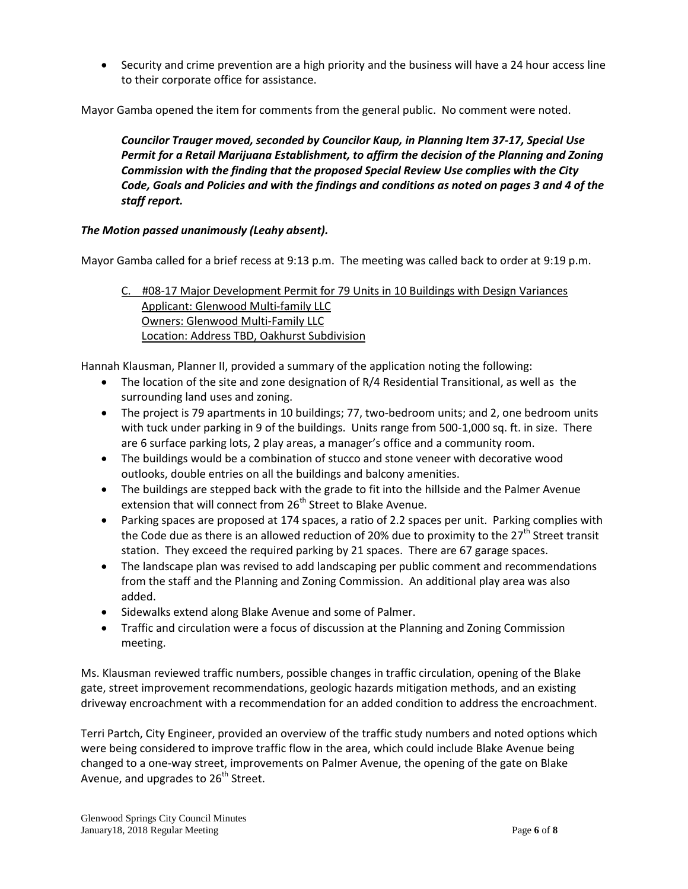• Security and crime prevention are a high priority and the business will have a 24 hour access line to their corporate office for assistance.

Mayor Gamba opened the item for comments from the general public. No comment were noted.

*Councilor Trauger moved, seconded by Councilor Kaup, in Planning Item 37-17, Special Use Permit for a Retail Marijuana Establishment, to affirm the decision of the Planning and Zoning Commission with the finding that the proposed Special Review Use complies with the City Code, Goals and Policies and with the findings and conditions as noted on pages 3 and 4 of the staff report.*

# *The Motion passed unanimously (Leahy absent).*

Mayor Gamba called for a brief recess at 9:13 p.m. The meeting was called back to order at 9:19 p.m.

# C. #08-17 Major Development Permit for 79 Units in 10 Buildings with Design Variances Applicant: Glenwood Multi-family LLC Owners: Glenwood Multi-Family LLC Location: Address TBD, Oakhurst Subdivision

Hannah Klausman, Planner II, provided a summary of the application noting the following:

- The location of the site and zone designation of R/4 Residential Transitional, as well as the surrounding land uses and zoning.
- The project is 79 apartments in 10 buildings; 77, two-bedroom units; and 2, one bedroom units with tuck under parking in 9 of the buildings. Units range from 500-1,000 sq. ft. in size. There are 6 surface parking lots, 2 play areas, a manager's office and a community room.
- The buildings would be a combination of stucco and stone veneer with decorative wood outlooks, double entries on all the buildings and balcony amenities.
- The buildings are stepped back with the grade to fit into the hillside and the Palmer Avenue extension that will connect from 26<sup>th</sup> Street to Blake Avenue.
- Parking spaces are proposed at 174 spaces, a ratio of 2.2 spaces per unit. Parking complies with the Code due as there is an allowed reduction of 20% due to proximity to the  $27<sup>th</sup>$  Street transit station. They exceed the required parking by 21 spaces. There are 67 garage spaces.
- The landscape plan was revised to add landscaping per public comment and recommendations from the staff and the Planning and Zoning Commission. An additional play area was also added.
- Sidewalks extend along Blake Avenue and some of Palmer.
- Traffic and circulation were a focus of discussion at the Planning and Zoning Commission meeting.

Ms. Klausman reviewed traffic numbers, possible changes in traffic circulation, opening of the Blake gate, street improvement recommendations, geologic hazards mitigation methods, and an existing driveway encroachment with a recommendation for an added condition to address the encroachment.

Terri Partch, City Engineer, provided an overview of the traffic study numbers and noted options which were being considered to improve traffic flow in the area, which could include Blake Avenue being changed to a one-way street, improvements on Palmer Avenue, the opening of the gate on Blake Avenue, and upgrades to  $26<sup>th</sup>$  Street.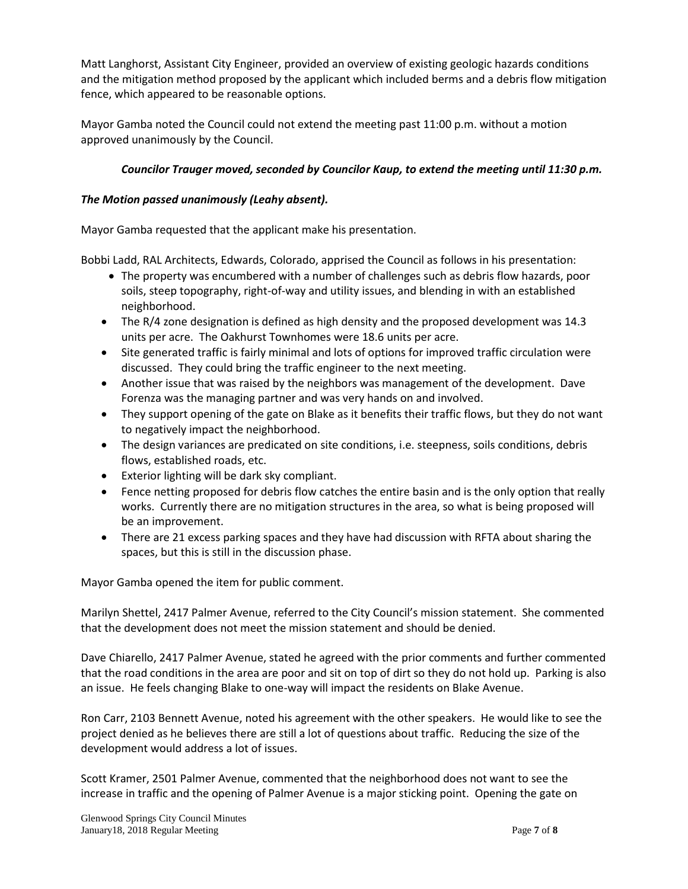Matt Langhorst, Assistant City Engineer, provided an overview of existing geologic hazards conditions and the mitigation method proposed by the applicant which included berms and a debris flow mitigation fence, which appeared to be reasonable options.

Mayor Gamba noted the Council could not extend the meeting past 11:00 p.m. without a motion approved unanimously by the Council.

# *Councilor Trauger moved, seconded by Councilor Kaup, to extend the meeting until 11:30 p.m.*

# *The Motion passed unanimously (Leahy absent).*

Mayor Gamba requested that the applicant make his presentation.

Bobbi Ladd, RAL Architects, Edwards, Colorado, apprised the Council as follows in his presentation:

- The property was encumbered with a number of challenges such as debris flow hazards, poor soils, steep topography, right-of-way and utility issues, and blending in with an established neighborhood.
- The R/4 zone designation is defined as high density and the proposed development was 14.3 units per acre. The Oakhurst Townhomes were 18.6 units per acre.
- Site generated traffic is fairly minimal and lots of options for improved traffic circulation were discussed. They could bring the traffic engineer to the next meeting.
- Another issue that was raised by the neighbors was management of the development. Dave Forenza was the managing partner and was very hands on and involved.
- They support opening of the gate on Blake as it benefits their traffic flows, but they do not want to negatively impact the neighborhood.
- The design variances are predicated on site conditions, i.e. steepness, soils conditions, debris flows, established roads, etc.
- Exterior lighting will be dark sky compliant.
- Fence netting proposed for debris flow catches the entire basin and is the only option that really works. Currently there are no mitigation structures in the area, so what is being proposed will be an improvement.
- There are 21 excess parking spaces and they have had discussion with RFTA about sharing the spaces, but this is still in the discussion phase.

Mayor Gamba opened the item for public comment.

Marilyn Shettel, 2417 Palmer Avenue, referred to the City Council's mission statement. She commented that the development does not meet the mission statement and should be denied.

Dave Chiarello, 2417 Palmer Avenue, stated he agreed with the prior comments and further commented that the road conditions in the area are poor and sit on top of dirt so they do not hold up. Parking is also an issue. He feels changing Blake to one-way will impact the residents on Blake Avenue.

Ron Carr, 2103 Bennett Avenue, noted his agreement with the other speakers. He would like to see the project denied as he believes there are still a lot of questions about traffic. Reducing the size of the development would address a lot of issues.

Scott Kramer, 2501 Palmer Avenue, commented that the neighborhood does not want to see the increase in traffic and the opening of Palmer Avenue is a major sticking point. Opening the gate on